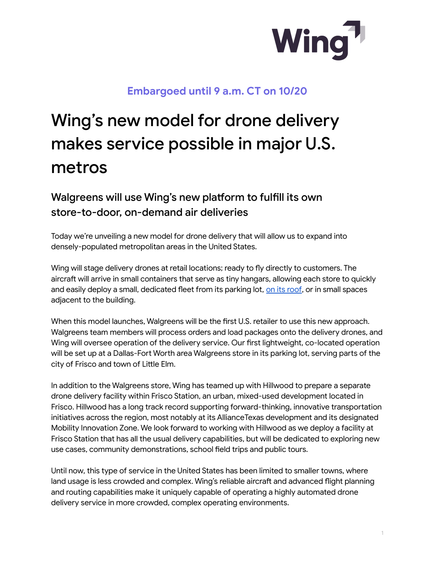

## **Embargoed until 9 a.m. CT on 10/20**

## Wing's new model for drone delivery makes service possible in major U.S. metros

## Walgreens will use Wing's new platform to fulfill its own store-to-door, on-demand air deliveries

Today we're unveiling a new model for drone delivery that will allow us to expand into densely-populated metropolitan areas in the United States.

Wing will stage delivery drones at retail locations; ready to fly directly to customers. The aircraft will arrive in small containers that serve as tiny hangars, allowing each store to quickly and easily deploy a small, dedicated fleet from its parking lot, on its [roof](https://blog.wing.com/2021/10/check-out-worlds-first-rooftop-drone.html), or in small spaces adjacent to the building.

When this model launches, Walgreens will be the first U.S. retailer to use this new approach. Walgreens team members will process orders and load packages onto the delivery drones, and Wing will oversee operation of the delivery service. Our first lightweight, co-located operation will be set up at a Dallas-Fort Worth area Walgreens store in its parking lot, serving parts of the city of Frisco and town of Little Elm.

In addition to the Walgreens store, Wing has teamed up with Hillwood to prepare a separate drone delivery facility within Frisco Station, an urban, mixed-used development located in Frisco. Hillwood has a long track record supporting forward-thinking, innovative transportation initiatives across the region, most notably at its AllianceTexas development and its designated Mobility Innovation Zone. We look forward to working with Hillwood as we deploy a facility at Frisco Station that has all the usual delivery capabilities, but will be dedicated to exploring new use cases, community demonstrations, school field trips and public tours.

Until now, this type of service in the United States has been limited to smaller towns, where land usage is less crowded and complex. Wing's reliable aircraft and advanced flight planning and routing capabilities make it uniquely capable of operating a highly automated drone delivery service in more crowded, complex operating environments.